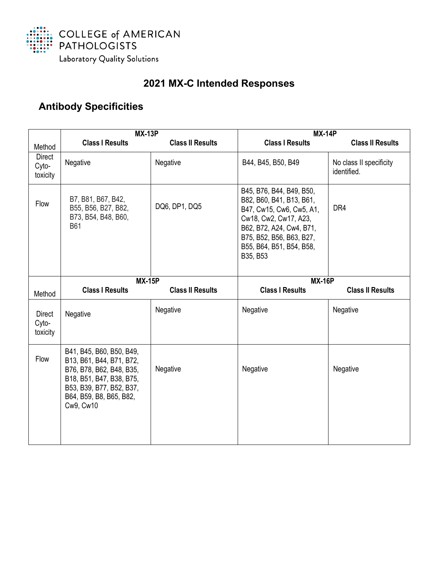

## **2021 MX-C Intended Responses**

## **Antibody Specificities**

|                                    | <b>MX-13P</b>                                                                                                                                                                    |                         | <b>MX-14P</b>                                                                                                                                                                                             |                                        |
|------------------------------------|----------------------------------------------------------------------------------------------------------------------------------------------------------------------------------|-------------------------|-----------------------------------------------------------------------------------------------------------------------------------------------------------------------------------------------------------|----------------------------------------|
| Method                             | <b>Class I Results</b>                                                                                                                                                           | <b>Class II Results</b> | <b>Class I Results</b>                                                                                                                                                                                    | <b>Class II Results</b>                |
| Direct<br>Cyto-<br>toxicity        | Negative                                                                                                                                                                         | Negative                | B44, B45, B50, B49                                                                                                                                                                                        | No class II specificity<br>identified. |
| Flow                               | B7, B81, B67, B42,<br>B55, B56, B27, B82,<br>B73, B54, B48, B60,<br><b>B61</b>                                                                                                   | DQ6, DP1, DQ5           | B45, B76, B44, B49, B50,<br>B82, B60, B41, B13, B61,<br>B47, Cw15, Cw6, Cw5, A1,<br>Cw18, Cw2, Cw17, A23,<br>B62, B72, A24, Cw4, B71,<br>B75, B52, B56, B63, B27,<br>B55, B64, B51, B54, B58,<br>B35, B53 | DR4                                    |
|                                    | <b>MX-15P</b>                                                                                                                                                                    |                         | <b>MX-16P</b>                                                                                                                                                                                             |                                        |
| Method                             | <b>Class I Results</b>                                                                                                                                                           | <b>Class II Results</b> | <b>Class I Results</b>                                                                                                                                                                                    | <b>Class II Results</b>                |
| <b>Direct</b><br>Cyto-<br>toxicity | Negative                                                                                                                                                                         | Negative                | Negative                                                                                                                                                                                                  | Negative                               |
| Flow                               | B41, B45, B60, B50, B49,<br>B13, B61, B44, B71, B72,<br>B76, B78, B62, B48, B35,<br>B18, B51, B47, B38, B75,<br>B53, B39, B77, B52, B37,<br>B64, B59, B8, B65, B82,<br>Cw9, Cw10 | Negative                | Negative                                                                                                                                                                                                  | Negative                               |